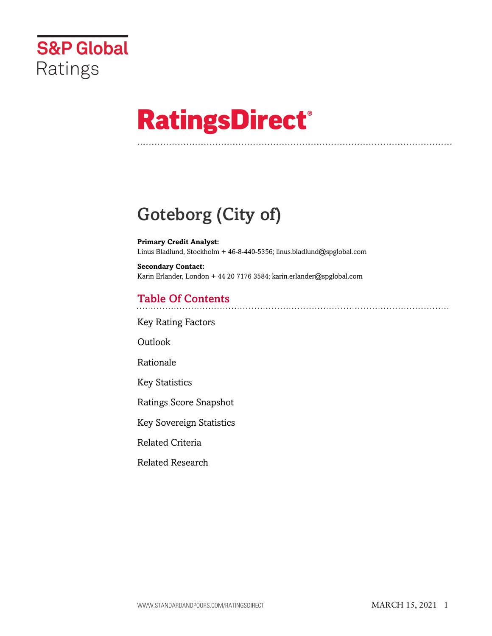

# **RatingsDirect®**

## Goteborg (City of)

**Primary Credit Analyst:** Linus Bladlund, Stockholm + 46-8-440-5356; linus.bladlund@spglobal.com

**Secondary Contact:** Karin Erlander, London + 44 20 7176 3584; karin.erlander@spglobal.com

## Table Of Contents

[Key Rating Factors](#page-1-0)

[Outlook](#page-1-1)

[Rationale](#page-2-0)

[Key Statistics](#page-4-0)

[Ratings Score Snapshot](#page-4-1)

[Key Sovereign Statistics](#page-5-0)

[Related Criteria](#page-5-1)

[Related Research](#page-5-2)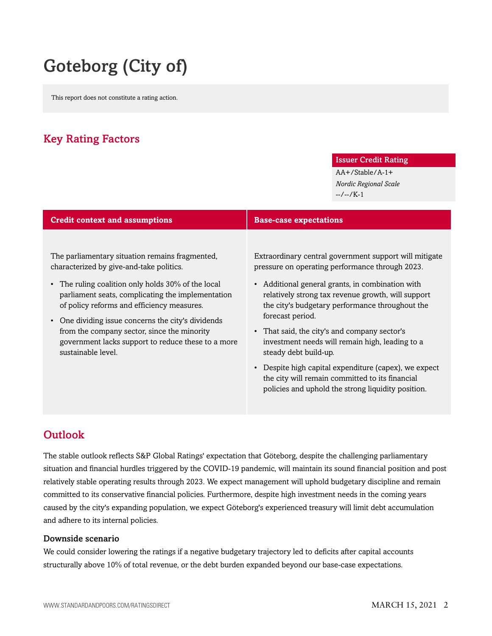## Goteborg (City of)

This report does not constitute a rating action.

## <span id="page-1-0"></span>Key Rating Factors

#### Issuer Credit Rating

AA+/Stable/A-1+ *Nordic Regional Scale* --/--/K-1

| <b>Credit context and assumptions</b>                                                                                                                                                                                                                                                                                                                                                                                               | <b>Base-case expectations</b>                                                                                                                                                                                                                                                                                                                                                                                                                                                                                                                                                            |
|-------------------------------------------------------------------------------------------------------------------------------------------------------------------------------------------------------------------------------------------------------------------------------------------------------------------------------------------------------------------------------------------------------------------------------------|------------------------------------------------------------------------------------------------------------------------------------------------------------------------------------------------------------------------------------------------------------------------------------------------------------------------------------------------------------------------------------------------------------------------------------------------------------------------------------------------------------------------------------------------------------------------------------------|
| The parliamentary situation remains fragmented,<br>characterized by give-and-take politics.<br>The ruling coalition only holds 30% of the local<br>parliament seats, complicating the implementation<br>of policy reforms and efficiency measures.<br>• One dividing issue concerns the city's dividends<br>from the company sector, since the minority<br>government lacks support to reduce these to a more<br>sustainable level. | Extraordinary central government support will mitigate<br>pressure on operating performance through 2023.<br>• Additional general grants, in combination with<br>relatively strong tax revenue growth, will support<br>the city's budgetary performance throughout the<br>forecast period.<br>• That said, the city's and company sector's<br>investment needs will remain high, leading to a<br>steady debt build-up.<br>• Despite high capital expenditure (capex), we expect<br>the city will remain committed to its financial<br>policies and uphold the strong liquidity position. |

## <span id="page-1-1"></span>Outlook

The stable outlook reflects S&P Global Ratings' expectation that Göteborg, despite the challenging parliamentary situation and financial hurdles triggered by the COVID-19 pandemic, will maintain its sound financial position and post relatively stable operating results through 2023. We expect management will uphold budgetary discipline and remain committed to its conservative financial policies. Furthermore, despite high investment needs in the coming years caused by the city's expanding population, we expect Göteborg's experienced treasury will limit debt accumulation and adhere to its internal policies.

#### Downside scenario

We could consider lowering the ratings if a negative budgetary trajectory led to deficits after capital accounts structurally above 10% of total revenue, or the debt burden expanded beyond our base-case expectations.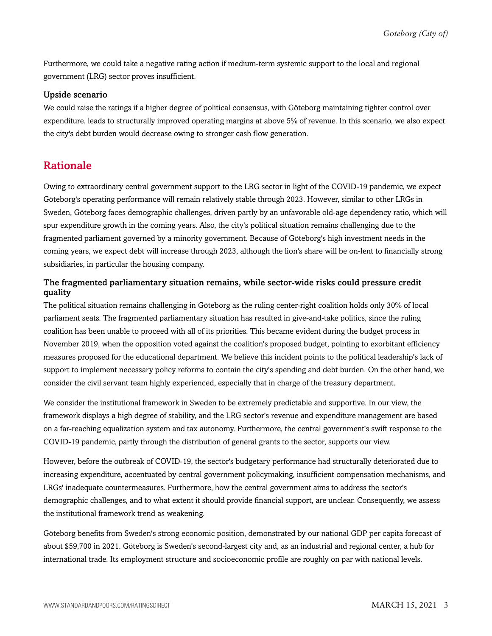Furthermore, we could take a negative rating action if medium-term systemic support to the local and regional government (LRG) sector proves insufficient.

#### Upside scenario

We could raise the ratings if a higher degree of political consensus, with Göteborg maintaining tighter control over expenditure, leads to structurally improved operating margins at above 5% of revenue. In this scenario, we also expect the city's debt burden would decrease owing to stronger cash flow generation.

### <span id="page-2-0"></span>Rationale

Owing to extraordinary central government support to the LRG sector in light of the COVID-19 pandemic, we expect Göteborg's operating performance will remain relatively stable through 2023. However, similar to other LRGs in Sweden, Göteborg faces demographic challenges, driven partly by an unfavorable old-age dependency ratio, which will spur expenditure growth in the coming years. Also, the city's political situation remains challenging due to the fragmented parliament governed by a minority government. Because of Göteborg's high investment needs in the coming years, we expect debt will increase through 2023, although the lion's share will be on-lent to financially strong subsidiaries, in particular the housing company.

#### The fragmented parliamentary situation remains, while sector-wide risks could pressure credit quality

The political situation remains challenging in Göteborg as the ruling center-right coalition holds only 30% of local parliament seats. The fragmented parliamentary situation has resulted in give-and-take politics, since the ruling coalition has been unable to proceed with all of its priorities. This became evident during the budget process in November 2019, when the opposition voted against the coalition's proposed budget, pointing to exorbitant efficiency measures proposed for the educational department. We believe this incident points to the political leadership's lack of support to implement necessary policy reforms to contain the city's spending and debt burden. On the other hand, we consider the civil servant team highly experienced, especially that in charge of the treasury department.

We consider the institutional framework in Sweden to be extremely predictable and supportive. In our view, the framework displays a high degree of stability, and the LRG sector's revenue and expenditure management are based on a far-reaching equalization system and tax autonomy. Furthermore, the central government's swift response to the COVID-19 pandemic, partly through the distribution of general grants to the sector, supports our view.

However, before the outbreak of COVID-19, the sector's budgetary performance had structurally deteriorated due to increasing expenditure, accentuated by central government policymaking, insufficient compensation mechanisms, and LRGs' inadequate countermeasures. Furthermore, how the central government aims to address the sector's demographic challenges, and to what extent it should provide financial support, are unclear. Consequently, we assess the institutional framework trend as weakening.

Göteborg benefits from Sweden's strong economic position, demonstrated by our national GDP per capita forecast of about \$59,700 in 2021. Göteborg is Sweden's second-largest city and, as an industrial and regional center, a hub for international trade. Its employment structure and socioeconomic profile are roughly on par with national levels.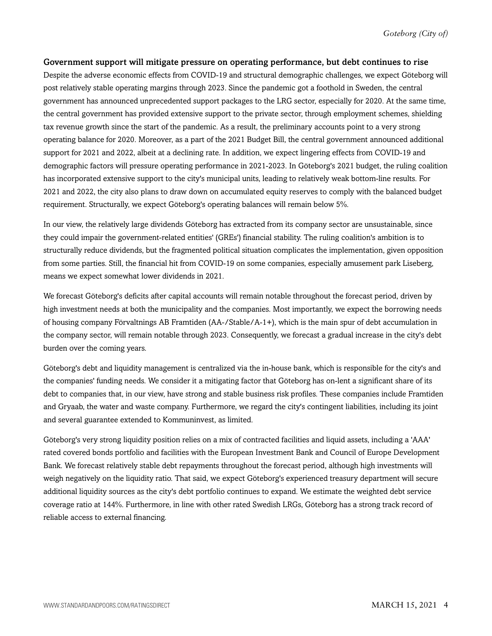#### Government support will mitigate pressure on operating performance, but debt continues to rise

Despite the adverse economic effects from COVID-19 and structural demographic challenges, we expect Göteborg will post relatively stable operating margins through 2023. Since the pandemic got a foothold in Sweden, the central government has announced unprecedented support packages to the LRG sector, especially for 2020. At the same time, the central government has provided extensive support to the private sector, through employment schemes, shielding tax revenue growth since the start of the pandemic. As a result, the preliminary accounts point to a very strong operating balance for 2020. Moreover, as a part of the 2021 Budget Bill, the central government announced additional support for 2021 and 2022, albeit at a declining rate. In addition, we expect lingering effects from COVID-19 and demographic factors will pressure operating performance in 2021-2023. In Göteborg's 2021 budget, the ruling coalition has incorporated extensive support to the city's municipal units, leading to relatively weak bottom-line results. For 2021 and 2022, the city also plans to draw down on accumulated equity reserves to comply with the balanced budget requirement. Structurally, we expect Göteborg's operating balances will remain below 5%.

In our view, the relatively large dividends Göteborg has extracted from its company sector are unsustainable, since they could impair the government-related entities' (GREs') financial stability. The ruling coalition's ambition is to structurally reduce dividends, but the fragmented political situation complicates the implementation, given opposition from some parties. Still, the financial hit from COVID-19 on some companies, especially amusement park Liseberg, means we expect somewhat lower dividends in 2021.

We forecast Göteborg's deficits after capital accounts will remain notable throughout the forecast period, driven by high investment needs at both the municipality and the companies. Most importantly, we expect the borrowing needs of housing company Förvaltnings AB Framtiden (AA-/Stable/A-1+), which is the main spur of debt accumulation in the company sector, will remain notable through 2023. Consequently, we forecast a gradual increase in the city's debt burden over the coming years.

Göteborg's debt and liquidity management is centralized via the in-house bank, which is responsible for the city's and the companies' funding needs. We consider it a mitigating factor that Göteborg has on-lent a significant share of its debt to companies that, in our view, have strong and stable business risk profiles. These companies include Framtiden and Gryaab, the water and waste company. Furthermore, we regard the city's contingent liabilities, including its joint and several guarantee extended to Kommuninvest, as limited.

Göteborg's very strong liquidity position relies on a mix of contracted facilities and liquid assets, including a 'AAA' rated covered bonds portfolio and facilities with the European Investment Bank and Council of Europe Development Bank. We forecast relatively stable debt repayments throughout the forecast period, although high investments will weigh negatively on the liquidity ratio. That said, we expect Göteborg's experienced treasury department will secure additional liquidity sources as the city's debt portfolio continues to expand. We estimate the weighted debt service coverage ratio at 144%. Furthermore, in line with other rated Swedish LRGs, Göteborg has a strong track record of reliable access to external financing.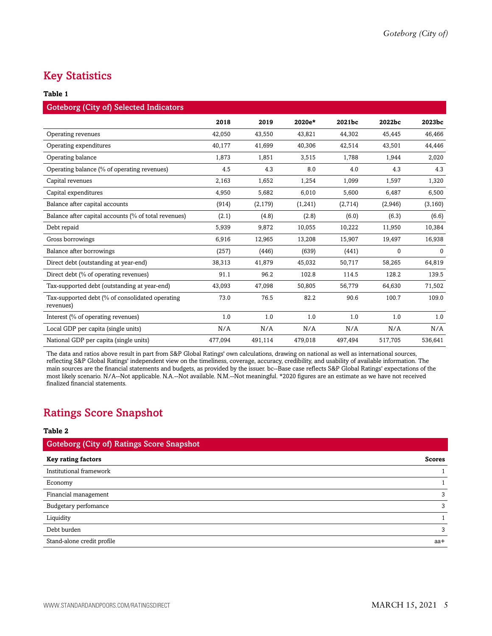## <span id="page-4-0"></span>Key Statistics

#### **Table 1**

| <b>Goteborg (City of) Selected Indicators</b>                |         |          |         |         |         |              |
|--------------------------------------------------------------|---------|----------|---------|---------|---------|--------------|
|                                                              | 2018    | 2019     | 2020e*  | 2021bc  | 2022bc  | 2023bc       |
| Operating revenues                                           | 42,050  | 43,550   | 43,821  | 44,302  | 45,445  | 46,466       |
| Operating expenditures                                       | 40,177  | 41,699   | 40,306  | 42,514  | 43,501  | 44,446       |
| Operating balance                                            | 1,873   | 1,851    | 3,515   | 1,788   | 1,944   | 2,020        |
| Operating balance (% of operating revenues)                  | 4.5     | 4.3      | 8.0     | 4.0     | 4.3     | 4.3          |
| Capital revenues                                             | 2,163   | 1,652    | 1,254   | 1,099   | 1,597   | 1,320        |
| Capital expenditures                                         | 4,950   | 5,682    | 6,010   | 5,600   | 6,487   | 6,500        |
| Balance after capital accounts                               | (914)   | (2, 179) | (1,241) | (2,714) | (2,946) | (3, 160)     |
| Balance after capital accounts (% of total revenues)         | (2.1)   | (4.8)    | (2.8)   | (6.0)   | (6.3)   | (6.6)        |
| Debt repaid                                                  | 5,939   | 9,872    | 10,055  | 10,222  | 11,950  | 10,384       |
| Gross borrowings                                             | 6,916   | 12,965   | 13,208  | 15,907  | 19,497  | 16,938       |
| Balance after borrowings                                     | (257)   | (446)    | (639)   | (441)   | 0       | $\mathbf{0}$ |
| Direct debt (outstanding at year-end)                        | 38,313  | 41,879   | 45,032  | 50,717  | 58,265  | 64,819       |
| Direct debt (% of operating revenues)                        | 91.1    | 96.2     | 102.8   | 114.5   | 128.2   | 139.5        |
| Tax-supported debt (outstanding at year-end)                 | 43,093  | 47,098   | 50,805  | 56,779  | 64,630  | 71,502       |
| Tax-supported debt (% of consolidated operating<br>revenues) | 73.0    | 76.5     | 82.2    | 90.6    | 100.7   | 109.0        |
| Interest (% of operating revenues)                           | 1.0     | 1.0      | 1.0     | 1.0     | 1.0     | 1.0          |
| Local GDP per capita (single units)                          | N/A     | N/A      | N/A     | N/A     | N/A     | N/A          |
| National GDP per capita (single units)                       | 477,094 | 491,114  | 479,018 | 497,494 | 517,705 | 536,641      |

The data and ratios above result in part from S&P Global Ratings' own calculations, drawing on national as well as international sources, reflecting S&P Global Ratings' independent view on the timeliness, coverage, accuracy, credibility, and usability of available information. The main sources are the financial statements and budgets, as provided by the issuer. bc--Base case reflects S&P Global Ratings' expectations of the most likely scenario. N/A--Not applicable. N.A.--Not available. N.M.--Not meaningful. \*2020 figures are an estimate as we have not received finalized financial statements.

## <span id="page-4-1"></span>Ratings Score Snapshot

#### **Table 2**

| <b>Goteborg (City of) Ratings Score Snapshot</b> |               |
|--------------------------------------------------|---------------|
| <b>Key rating factors</b>                        | <b>Scores</b> |
| Institutional framework                          |               |
| Economy                                          |               |
| Financial management                             | 3             |
| Budgetary perfomance                             | 3             |
| Liquidity                                        |               |
| Debt burden                                      | 3             |
| Stand-alone credit profile                       | aa+           |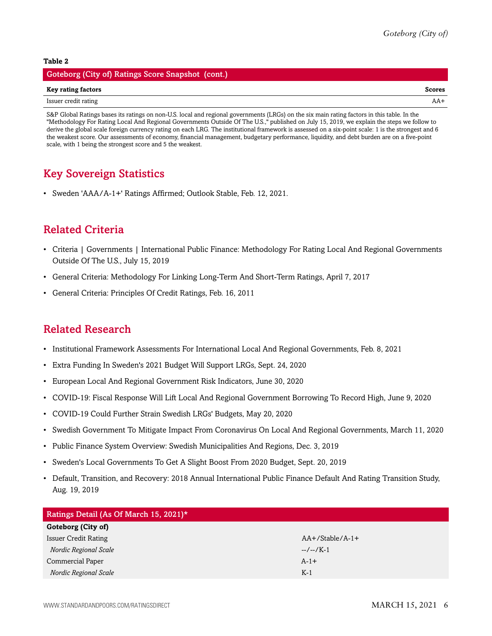#### **Table 2**

| Goteborg (City of) Ratings Score Snapshot (cont.) |        |
|---------------------------------------------------|--------|
| Key rating factors                                | Scores |
| Issuer credit rating                              | $AA+$  |

S&P Global Ratings bases its ratings on non-U.S. local and regional governments (LRGs) on the six main rating factors in this table. In the "Methodology For Rating Local And Regional Governments Outside Of The U.S.," published on July 15, 2019, we explain the steps we follow to derive the global scale foreign currency rating on each LRG. The institutional framework is assessed on a six-point scale: 1 is the strongest and 6 the weakest score. Our assessments of economy, financial management, budgetary performance, liquidity, and debt burden are on a five-point scale, with 1 being the strongest score and 5 the weakest.

## <span id="page-5-0"></span>Key Sovereign Statistics

• Sweden 'AAA/A-1+' Ratings Affirmed; Outlook Stable, Feb. 12, 2021.

### <span id="page-5-1"></span>Related Criteria

- Criteria | Governments | International Public Finance: Methodology For Rating Local And Regional Governments Outside Of The U.S., July 15, 2019
- General Criteria: Methodology For Linking Long-Term And Short-Term Ratings, April 7, 2017
- General Criteria: Principles Of Credit Ratings, Feb. 16, 2011

### <span id="page-5-2"></span>Related Research

- Institutional Framework Assessments For International Local And Regional Governments, Feb. 8, 2021
- Extra Funding In Sweden's 2021 Budget Will Support LRGs, Sept. 24, 2020
- European Local And Regional Government Risk Indicators, June 30, 2020
- COVID-19: Fiscal Response Will Lift Local And Regional Government Borrowing To Record High, June 9, 2020
- COVID-19 Could Further Strain Swedish LRGs' Budgets, May 20, 2020
- Swedish Government To Mitigate Impact From Coronavirus On Local And Regional Governments, March 11, 2020
- Public Finance System Overview: Swedish Municipalities And Regions, Dec. 3, 2019
- Sweden's Local Governments To Get A Slight Boost From 2020 Budget, Sept. 20, 2019
- Default, Transition, and Recovery: 2018 Annual International Public Finance Default And Rating Transition Study, Aug. 19, 2019

| Ratings Detail (As Of March 15, 2021)* |                   |  |  |
|----------------------------------------|-------------------|--|--|
| Goteborg (City of)                     |                   |  |  |
| <b>Issuer Credit Rating</b>            | $AA+/Stable/A-1+$ |  |  |
| Nordic Regional Scale                  | $-/-/K-1$         |  |  |
| Commercial Paper                       | $A-1+$            |  |  |
| Nordic Regional Scale                  | $K-1$             |  |  |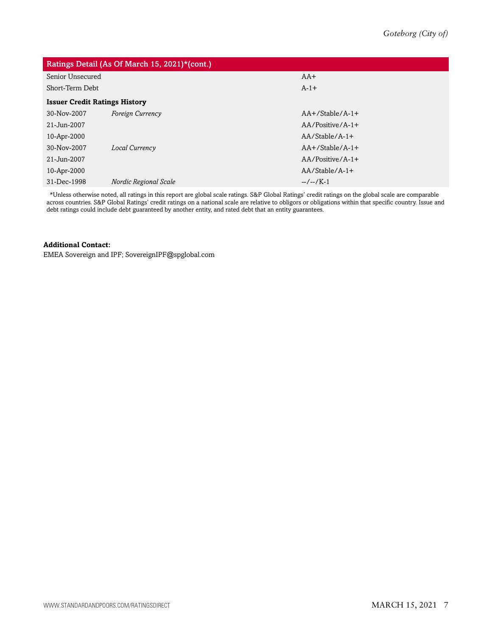| Ratings Detail (As Of March 15, 2021)*(cont.) |                         |                    |  |  |
|-----------------------------------------------|-------------------------|--------------------|--|--|
| Senior Unsecured                              |                         | $AA+$              |  |  |
| Short-Term Debt                               |                         | $A-1+$             |  |  |
| <b>Issuer Credit Ratings History</b>          |                         |                    |  |  |
| 30-Nov-2007                                   | <b>Foreign Currency</b> | $AA+$ /Stable/A-1+ |  |  |
| 21-Jun-2007                                   |                         | $AA/Positive/A-1+$ |  |  |
| 10-Apr-2000                                   |                         | $AA/Stable/A-1+$   |  |  |
| 30-Nov-2007                                   | Local Currency          | $AA+$ /Stable/A-1+ |  |  |
| 21-Jun-2007                                   |                         | $AA/Positive/A-1+$ |  |  |
| 10-Apr-2000                                   |                         | $AA/Stable/A-1+$   |  |  |
| 31-Dec-1998                                   | Nordic Regional Scale   | $-/-/K-1$          |  |  |
|                                               |                         |                    |  |  |

\*Unless otherwise noted, all ratings in this report are global scale ratings. S&P Global Ratings' credit ratings on the global scale are comparable across countries. S&P Global Ratings' credit ratings on a national scale are relative to obligors or obligations within that specific country. Issue and debt ratings could include debt guaranteed by another entity, and rated debt that an entity guarantees.

#### **Additional Contact:**

EMEA Sovereign and IPF; SovereignIPF@spglobal.com